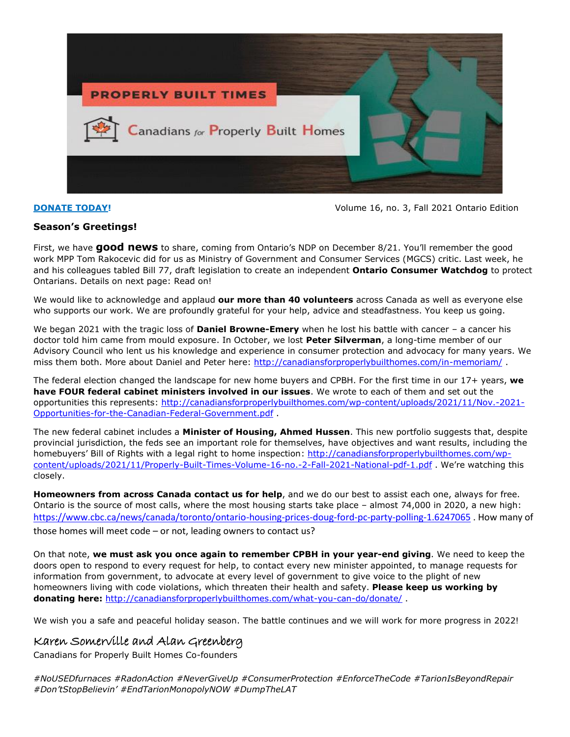

**[DONATE TODAY!](http://canadiansforproperlybuilthomes.com/what-you-can-do/donate/)** THE STATE OF A REPORT OF A REPORT OF A REPORT OF A REPORT OF A REPORT OF A REPORT OF A REPORT OF A REPORT OF A REPORT OF A REPORT OF A REPORT OF A REPORT OF A REPORT OF A REPORT OF A REPORT OF A REPORT OF A

# **Season's Greetings!**

First, we have **good news** to share, coming from Ontario's NDP on December 8/21. You'll remember the good work MPP Tom Rakocevic did for us as Ministry of Government and Consumer Services (MGCS) critic. Last week, he and his colleagues tabled Bill 77, draft legislation to create an independent **Ontario Consumer Watchdog** to protect Ontarians. Details on next page: Read on!

We would like to acknowledge and applaud **our more than 40 volunteers** across Canada as well as everyone else who supports our work. We are profoundly grateful for your help, advice and steadfastness. You keep us going.

We began 2021 with the tragic loss of **Daniel Browne-Emery** when he lost his battle with cancer – a cancer his doctor told him came from mould exposure. In October, we lost **Peter Silverman**, a long-time member of our Advisory Council who lent us his knowledge and experience in consumer protection and advocacy for many years. We miss them both. More about Daniel and Peter here:<http://canadiansforproperlybuilthomes.com/in-memoriam/>

The federal election changed the landscape for new home buyers and CPBH. For the first time in our 17+ years, **we have FOUR federal cabinet ministers involved in our issues**. We wrote to each of them and set out the opportunities this represents: [http://canadiansforproperlybuilthomes.com/wp-content/uploads/2021/11/Nov.-2021-](http://canadiansforproperlybuilthomes.com/wp-content/uploads/2021/11/Nov.-2021-Opportunities-for-the-Canadian-Federal-Government.pdf) [Opportunities-for-the-Canadian-Federal-Government.pdf](http://canadiansforproperlybuilthomes.com/wp-content/uploads/2021/11/Nov.-2021-Opportunities-for-the-Canadian-Federal-Government.pdf) .

The new federal cabinet includes a **Minister of Housing, Ahmed Hussen**. This new portfolio suggests that, despite provincial jurisdiction, the feds see an important role for themselves, have objectives and want results, including the homebuyers' Bill of Rights with a legal right to home inspection: [http://canadiansforproperlybuilthomes.com/wp](http://canadiansforproperlybuilthomes.com/wp-content/uploads/2021/11/Properly-Built-Times-Volume-16-no.-2-Fall-2021-National-pdf-1.pdf)[content/uploads/2021/11/Properly-Built-Times-Volume-16-no.-2-Fall-2021-National-pdf-1.pdf](http://canadiansforproperlybuilthomes.com/wp-content/uploads/2021/11/Properly-Built-Times-Volume-16-no.-2-Fall-2021-National-pdf-1.pdf) . We're watching this closely.

**Homeowners from across Canada contact us for help**, and we do our best to assist each one, always for free. Ontario is the source of most calls, where the most housing starts take place – almost 74,000 in 2020, a new high: <https://www.cbc.ca/news/canada/toronto/ontario-housing-prices-doug-ford-pc-party-polling-1.6247065> . How many of those homes will meet code – or not, leading owners to contact us?

On that note, **we must ask you once again to remember CPBH in your year-end giving**. We need to keep the doors open to respond to every request for help, to contact every new minister appointed, to manage requests for information from government, to advocate at every level of government to give voice to the plight of new homeowners living with code violations, which threaten their health and safety. **Please keep us working by donating here:** <http://canadiansforproperlybuilthomes.com/what-you-can-do/donate/> .

We wish you a safe and peaceful holiday season. The battle continues and we will work for more progress in 2022!

# Karen Somerville and Alan Greenberg

Canadians for Properly Built Homes Co-founders

*#NoUSEDfurnaces #RadonAction #NeverGiveUp #ConsumerProtection #EnforceTheCode #TarionIsBeyondRepair #Don'tStopBelievin' #EndTarionMonopolyNOW #DumpTheLAT*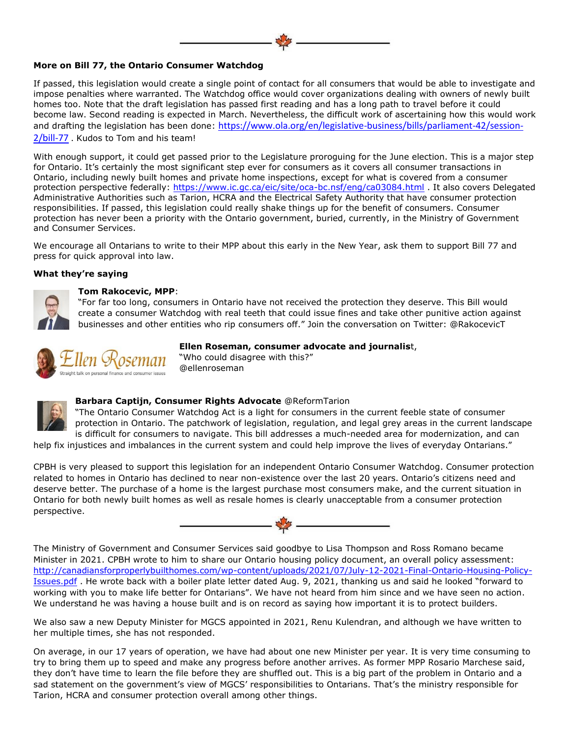#### **More on Bill 77, the Ontario Consumer Watchdog**

If passed, this legislation would create a single point of contact for all consumers that would be able to investigate and impose penalties where warranted. The Watchdog office would cover organizations dealing with owners of newly built homes too. Note that the draft legislation has passed first reading and has a long path to travel before it could become law. Second reading is expected in March. Nevertheless, the difficult work of ascertaining how this would work and drafting the legislation has been done: [https://www.ola.org/en/legislative-business/bills/parliament-42/session-](https://www.ola.org/en/legislative-business/bills/parliament-42/session-2/bill-77)[2/bill-77](https://www.ola.org/en/legislative-business/bills/parliament-42/session-2/bill-77) . Kudos to Tom and his team!

With enough support, it could get passed prior to the Legislature proroguing for the June election. This is a major step for Ontario. It's certainly the most significant step ever for consumers as it covers all consumer transactions in Ontario, including newly built homes and private home inspections, except for what is covered from a consumer protection perspective federally: <https://www.ic.gc.ca/eic/site/oca-bc.nsf/eng/ca03084.html> . It also covers Delegated Administrative Authorities such as Tarion, HCRA and the Electrical Safety Authority that have consumer protection responsibilities. If passed, this legislation could really shake things up for the benefit of consumers. Consumer protection has never been a priority with the Ontario government, buried, currently, in the Ministry of Government and Consumer Services.

We encourage all Ontarians to write to their MPP about this early in the New Year, ask them to support Bill 77 and press for quick approval into law.

#### **What they're saying**



#### **Tom Rakocevic, MPP**:

"For far too long, consumers in Ontario have not received the protection they deserve. This Bill would create a consumer Watchdog with real teeth that could issue fines and take other punitive action against businesses and other entities who rip consumers off." Join the conversation on Twitter: @RakocevicT



#### **Ellen Roseman, consumer advocate and journalis**t,

"Who could disagree with this?" @ellenroseman



### **Barbara Captijn, Consumer Rights Advocate** @ReformTarion

"The Ontario Consumer Watchdog Act is a light for consumers in the current feeble state of consumer protection in Ontario. The patchwork of legislation, regulation, and legal grey areas in the current landscape is difficult for consumers to navigate. This bill addresses a much-needed area for modernization, and can

help fix injustices and imbalances in the current system and could help improve the lives of everyday Ontarians."

CPBH is very pleased to support this legislation for an independent Ontario Consumer Watchdog. Consumer protection related to homes in Ontario has declined to near non-existence over the last 20 years. Ontario's citizens need and deserve better. The purchase of a home is the largest purchase most consumers make, and the current situation in Ontario for both newly built homes as well as resale homes is clearly unacceptable from a consumer protection perspective.



The Ministry of Government and Consumer Services said goodbye to Lisa Thompson and Ross Romano became Minister in 2021. CPBH wrote to him to share our Ontario housing policy document, an overall policy assessment: [http://canadiansforproperlybuilthomes.com/wp-content/uploads/2021/07/July-12-2021-Final-Ontario-Housing-Policy-](http://canadiansforproperlybuilthomes.com/wp-content/uploads/2021/07/July-12-2021-Final-Ontario-Housing-Policy-Issues.pdf)[Issues.pdf](http://canadiansforproperlybuilthomes.com/wp-content/uploads/2021/07/July-12-2021-Final-Ontario-Housing-Policy-Issues.pdf) . He wrote back with a boiler plate letter dated Aug. 9, 2021, thanking us and said he looked "forward to working with you to make life better for Ontarians". We have not heard from him since and we have seen no action. We understand he was having a house built and is on record as saying how important it is to protect builders.

We also saw a new Deputy Minister for MGCS appointed in 2021, Renu Kulendran, and although we have written to her multiple times, she has not responded.

On average, in our 17 years of operation, we have had about one new Minister per year. It is very time consuming to try to bring them up to speed and make any progress before another arrives. As former MPP Rosario Marchese said, they don't have time to learn the file before they are shuffled out. This is a big part of the problem in Ontario and a sad statement on the government's view of MGCS' responsibilities to Ontarians. That's the ministry responsible for Tarion, HCRA and consumer protection overall among other things.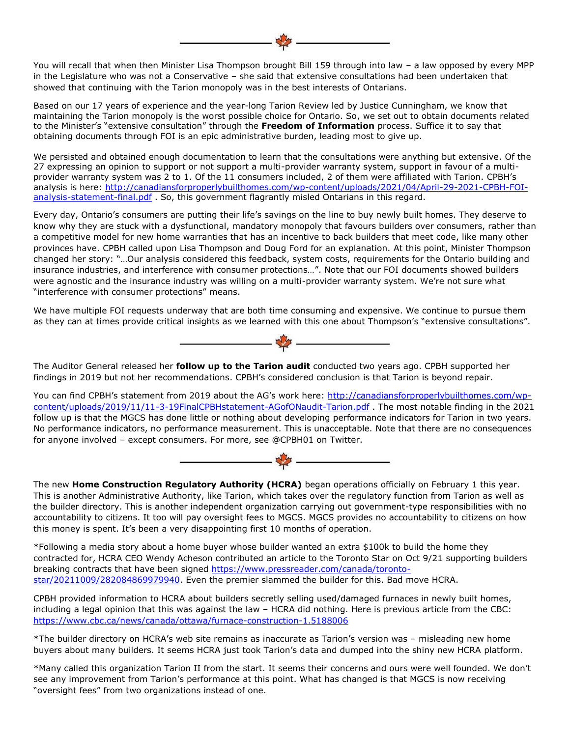You will recall that when then Minister Lisa Thompson brought Bill 159 through into law – a law opposed by every MPP in the Legislature who was not a Conservative – she said that extensive consultations had been undertaken that showed that continuing with the Tarion monopoly was in the best interests of Ontarians.

Based on our 17 years of experience and the year-long Tarion Review led by Justice Cunningham, we know that maintaining the Tarion monopoly is the worst possible choice for Ontario. So, we set out to obtain documents related to the Minister's "extensive consultation" through the **Freedom of Information** process. Suffice it to say that obtaining documents through FOI is an epic administrative burden, leading most to give up.

We persisted and obtained enough documentation to learn that the consultations were anything but extensive. Of the 27 expressing an opinion to support or not support a multi-provider warranty system, support in favour of a multiprovider warranty system was 2 to 1. Of the 11 consumers included, 2 of them were affiliated with Tarion. CPBH's analysis is here: [http://canadiansforproperlybuilthomes.com/wp-content/uploads/2021/04/April-29-2021-CPBH-FOI](http://canadiansforproperlybuilthomes.com/wp-content/uploads/2021/04/April-29-2021-CPBH-FOI-analysis-statement-final.pdf)[analysis-statement-final.pdf](http://canadiansforproperlybuilthomes.com/wp-content/uploads/2021/04/April-29-2021-CPBH-FOI-analysis-statement-final.pdf) . So, this government flagrantly misled Ontarians in this regard.

Every day, Ontario's consumers are putting their life's savings on the line to buy newly built homes. They deserve to know why they are stuck with a dysfunctional, mandatory monopoly that favours builders over consumers, rather than a competitive model for new home warranties that has an incentive to back builders that meet code, like many other provinces have. CPBH called upon Lisa Thompson and Doug Ford for an explanation. At this point, Minister Thompson changed her story: "…Our analysis considered this feedback, system costs, requirements for the Ontario building and insurance industries, and interference with consumer protections…". Note that our FOI documents showed builders were agnostic and the insurance industry was willing on a multi-provider warranty system. We're not sure what "interference with consumer protections" means.

We have multiple FOI requests underway that are both time consuming and expensive. We continue to pursue them as they can at times provide critical insights as we learned with this one about Thompson's "extensive consultations".



The Auditor General released her **follow up to the Tarion audit** conducted two years ago. CPBH supported her findings in 2019 but not her recommendations. CPBH's considered conclusion is that Tarion is beyond repair.

You can find CPBH's statement from 2019 about the AG's work here: [http://canadiansforproperlybuilthomes.com/wp](http://canadiansforproperlybuilthomes.com/wp-content/uploads/2019/11/11-3-19FinalCPBHstatement-AGofONaudit-Tarion.pdf)[content/uploads/2019/11/11-3-19FinalCPBHstatement-AGofONaudit-Tarion.pdf](http://canadiansforproperlybuilthomes.com/wp-content/uploads/2019/11/11-3-19FinalCPBHstatement-AGofONaudit-Tarion.pdf) . The most notable finding in the 2021 follow up is that the MGCS has done little or nothing about developing performance indicators for Tarion in two years. No performance indicators, no performance measurement. This is unacceptable. Note that there are no consequences for anyone involved – except consumers. For more, see @CPBH01 on Twitter.



The new **Home Construction Regulatory Authority (HCRA)** began operations officially on February 1 this year. This is another Administrative Authority, like Tarion, which takes over the regulatory function from Tarion as well as the builder directory. This is another independent organization carrying out government-type responsibilities with no accountability to citizens. It too will pay oversight fees to MGCS. MGCS provides no accountability to citizens on how this money is spent. It's been a very disappointing first 10 months of operation.

\*Following a media story about a home buyer whose builder wanted an extra \$100k to build the home they contracted for, HCRA CEO Wendy Acheson contributed an article to the Toronto Star on Oct 9/21 supporting builders breaking contracts that have been signed [https://www.pressreader.com/canada/toronto](https://www.pressreader.com/canada/toronto-star/20211009/282084869979940)[star/20211009/282084869979940.](https://www.pressreader.com/canada/toronto-star/20211009/282084869979940) Even the premier slammed the builder for this. Bad move HCRA.

CPBH provided information to HCRA about builders secretly selling used/damaged furnaces in newly built homes, including a legal opinion that this was against the law – HCRA did nothing. Here is previous article from the CBC: <https://www.cbc.ca/news/canada/ottawa/furnace-construction-1.5188006>

\*The builder directory on HCRA's web site remains as inaccurate as Tarion's version was – misleading new home buyers about many builders. It seems HCRA just took Tarion's data and dumped into the shiny new HCRA platform.

\*Many called this organization Tarion II from the start. It seems their concerns and ours were well founded. We don't see any improvement from Tarion's performance at this point. What has changed is that MGCS is now receiving "oversight fees" from two organizations instead of one.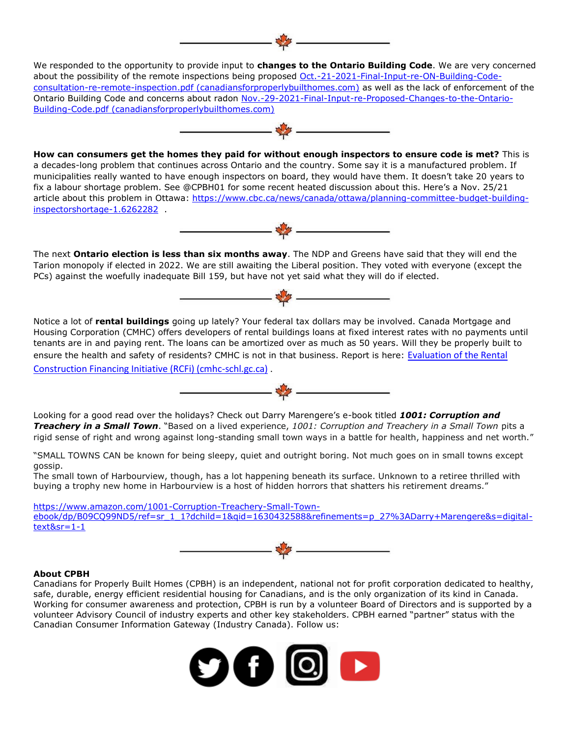We responded to the opportunity to provide input to **changes to the Ontario Building Code**. We are very concerned about the possibility of the remote inspections being proposed [Oct.-21-2021-Final-Input-re-ON-Building-Code](http://canadiansforproperlybuilthomes.com/wp-content/uploads/2021/10/Oct.-21-2021-Final-Input-re-ON-Building-Code-consultation-re-remote-inspection.pdf)[consultation-re-remote-inspection.pdf \(canadiansforproperlybuilthomes.com\)](http://canadiansforproperlybuilthomes.com/wp-content/uploads/2021/10/Oct.-21-2021-Final-Input-re-ON-Building-Code-consultation-re-remote-inspection.pdf) as well as the lack of enforcement of the Ontario Building Code and concerns about radon [Nov.-29-2021-Final-Input-re-Proposed-Changes-to-the-Ontario-](http://canadiansforproperlybuilthomes.com/wp-content/uploads/2021/11/Nov.-29-2021-Final-Input-re-Proposed-Changes-to-the-Ontario-Building-Code.pdf)[Building-Code.pdf \(canadiansforproperlybuilthomes.com\)](http://canadiansforproperlybuilthomes.com/wp-content/uploads/2021/11/Nov.-29-2021-Final-Input-re-Proposed-Changes-to-the-Ontario-Building-Code.pdf)



**How can consumers get the homes they paid for without enough inspectors to ensure code is met?** This is a decades-long problem that continues across Ontario and the country. Some say it is a manufactured problem. If municipalities really wanted to have enough inspectors on board, they would have them. It doesn't take 20 years to fix a labour shortage problem. See @CPBH01 for some recent heated discussion about this. Here's a Nov. 25/21 article about this problem in Ottawa: [https://www.cbc.ca/news/canada/ottawa/planning-committee-budget-building](https://www.cbc.ca/news/canada/ottawa/planning-committee-budget-building-inspectorshortage-1.6262282)[inspectorshortage-1.6262282](https://www.cbc.ca/news/canada/ottawa/planning-committee-budget-building-inspectorshortage-1.6262282) .



The next **Ontario election is less than six months away**. The NDP and Greens have said that they will end the Tarion monopoly if elected in 2022. We are still awaiting the Liberal position. They voted with everyone (except the PCs) against the woefully inadequate Bill 159, but have not yet said what they will do if elected.



Notice a lot of **rental buildings** going up lately? Your federal tax dollars may be involved. Canada Mortgage and Housing Corporation (CMHC) offers developers of rental buildings loans at fixed interest rates with no payments until tenants are in and paying rent. The loans can be amortized over as much as 50 years. Will they be properly built to ensure the health and safety of residents? CMHC is not in that business. Report is here: [Evaluation of the Rental](https://assets.cmhc-schl.gc.ca/sites/cmhc/about-cmhc/corporate-reporting/program-evaluation/2021/rcfi-evaluation-report-en.pdf?rev=68aeef88-68b7-4863-8dff-1760e0e93056)  [Construction Financing Initiative \(RCFi\) \(cmhc-schl.gc.ca\)](https://assets.cmhc-schl.gc.ca/sites/cmhc/about-cmhc/corporate-reporting/program-evaluation/2021/rcfi-evaluation-report-en.pdf?rev=68aeef88-68b7-4863-8dff-1760e0e93056) .

Looking for a good read over the holidays? Check out Darry Marengere's e-book titled *1001: Corruption and Treachery in a Small Town*. "Based on a lived experience, *1001: Corruption and Treachery in a Small Town* pits a rigid sense of right and wrong against long-standing small town ways in a battle for health, happiness and net worth."

 $\rightarrow$ 

"SMALL TOWNS CAN be known for being sleepy, quiet and outright boring. Not much goes on in small towns except gossip.

The small town of Harbourview, though, has a lot happening beneath its surface. Unknown to a retiree thrilled with buying a trophy new home in Harbourview is a host of hidden horrors that shatters his retirement dreams."

[https://www.amazon.com/1001-Corruption-Treachery-Small-Town](https://www.amazon.com/1001-Corruption-Treachery-Small-Town-ebook/dp/B09CQ99ND5/ref=sr_1_1?dchild=1&qid=1630432588&refinements=p_27%3ADarry+Marengere&s=digital-text&sr=1-1)[ebook/dp/B09CQ99ND5/ref=sr\\_1\\_1?dchild=1&qid=1630432588&refinements=p\\_27%3ADarry+Marengere&s=digital](https://www.amazon.com/1001-Corruption-Treachery-Small-Town-ebook/dp/B09CQ99ND5/ref=sr_1_1?dchild=1&qid=1630432588&refinements=p_27%3ADarry+Marengere&s=digital-text&sr=1-1)[text&sr=1-1](https://www.amazon.com/1001-Corruption-Treachery-Small-Town-ebook/dp/B09CQ99ND5/ref=sr_1_1?dchild=1&qid=1630432588&refinements=p_27%3ADarry+Marengere&s=digital-text&sr=1-1)



#### **About CPBH**

Canadians for Properly Built Homes (CPBH) is an independent, national not for profit corporation dedicated to healthy, safe, durable, energy efficient residential housing for Canadians, and is the only organization of its kind in Canada. Working for consumer awareness and protection, CPBH is run by a volunteer Board of Directors and is supported by a volunteer Advisory Council of industry experts and other key stakeholders. CPBH earned "partner" status with the Canadian Consumer Information Gateway (Industry Canada). Follow us: